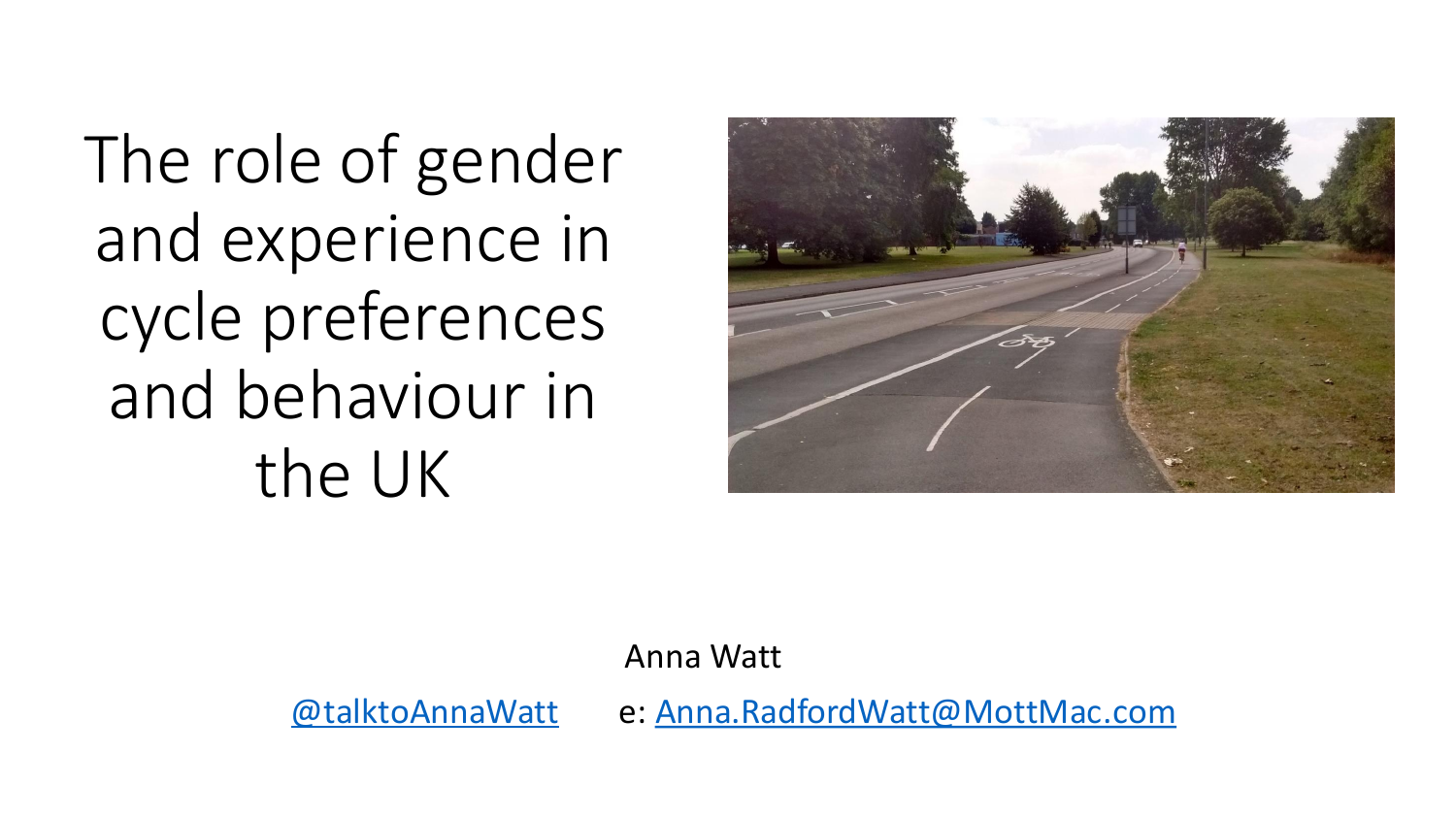The role of gender and experience in cycle preferences and behaviour in the UK



Anna Watt

[@talktoAnnaWatt](https://twitter.com/TalkToAnnaWatt) e: [Anna.RadfordWatt@MottMac.com](mailto:Anna.RadfordWatt@MottMac.com)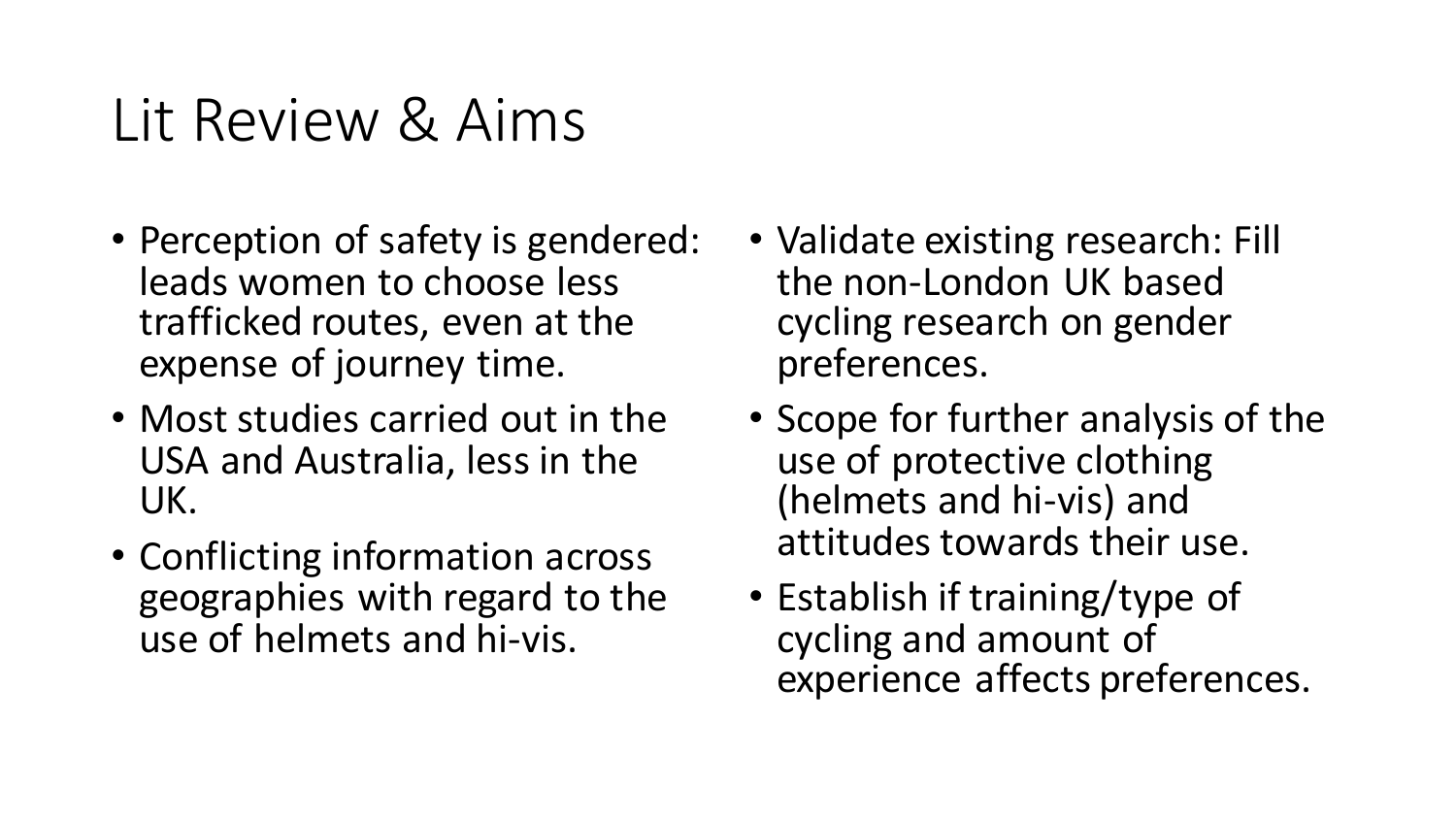### Lit Review & Aims

- Perception of safety is gendered: leads women to choose less trafficked routes, even at the expense of journey time.
- Most studies carried out in the USA and Australia, less in the UK.
- Conflicting information across geographies with regard to the use of helmets and hi-vis.
- Validate existing research: Fill the non-London UK based cycling research on gender preferences.
- Scope for further analysis of the use of protective clothing (helmets and hi-vis) and attitudes towards their use.
- Establish if training/type of cycling and amount of experience affects preferences.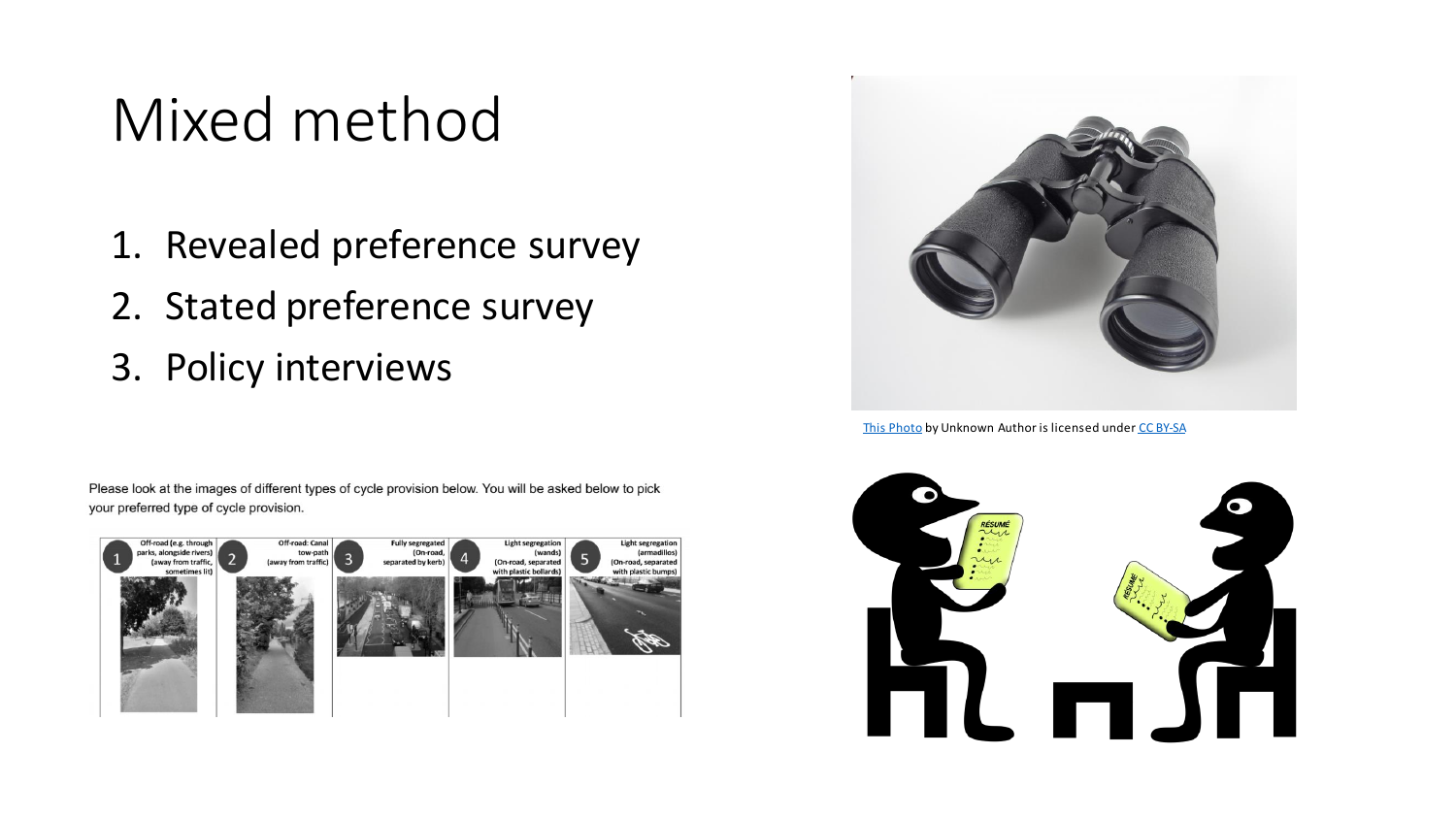### Mixed method

- 1. Revealed preference survey
- 2. Stated preference survey
- 3. Policy interviews

Please look at the images of different types of cycle provision below. You will be asked below to pick your preferred type of cycle provision.





[This Photo](http://commons.wikimedia.org/wiki/file:binocular_20101111.jpg) by Unknown Author is licensed under [CC BY-SA](https://creativecommons.org/licenses/by-sa/3.0/)

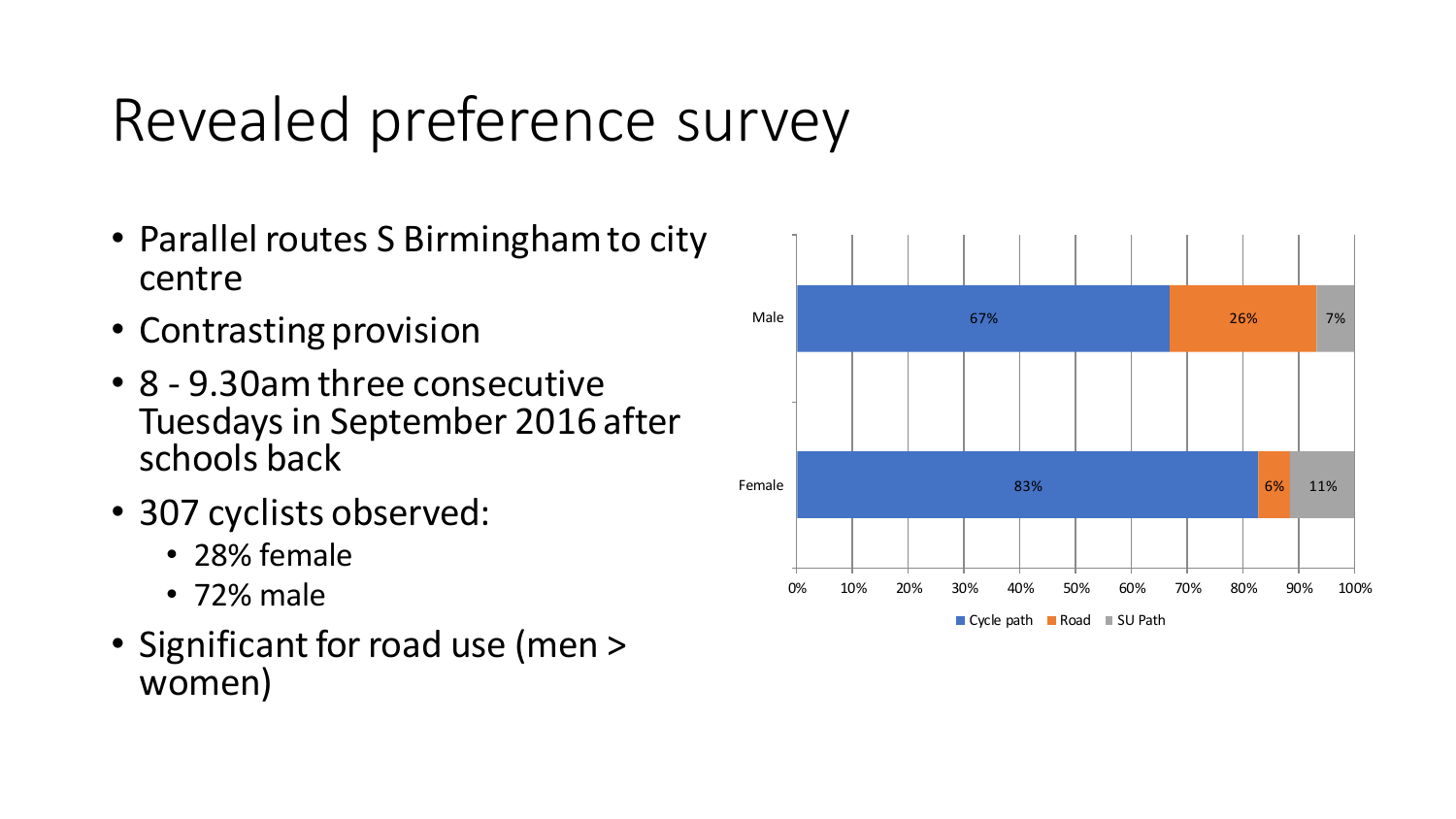# Revealed preference survey

- Parallel routes S Birmingham to city centre
- Contrasting provision
- 8 9.30am three consecutive Tuesdays in September 2016 after schools back
- 307 cyclists observed:
	- 28% female
	- 72% male
- Significant for road use (men > women)

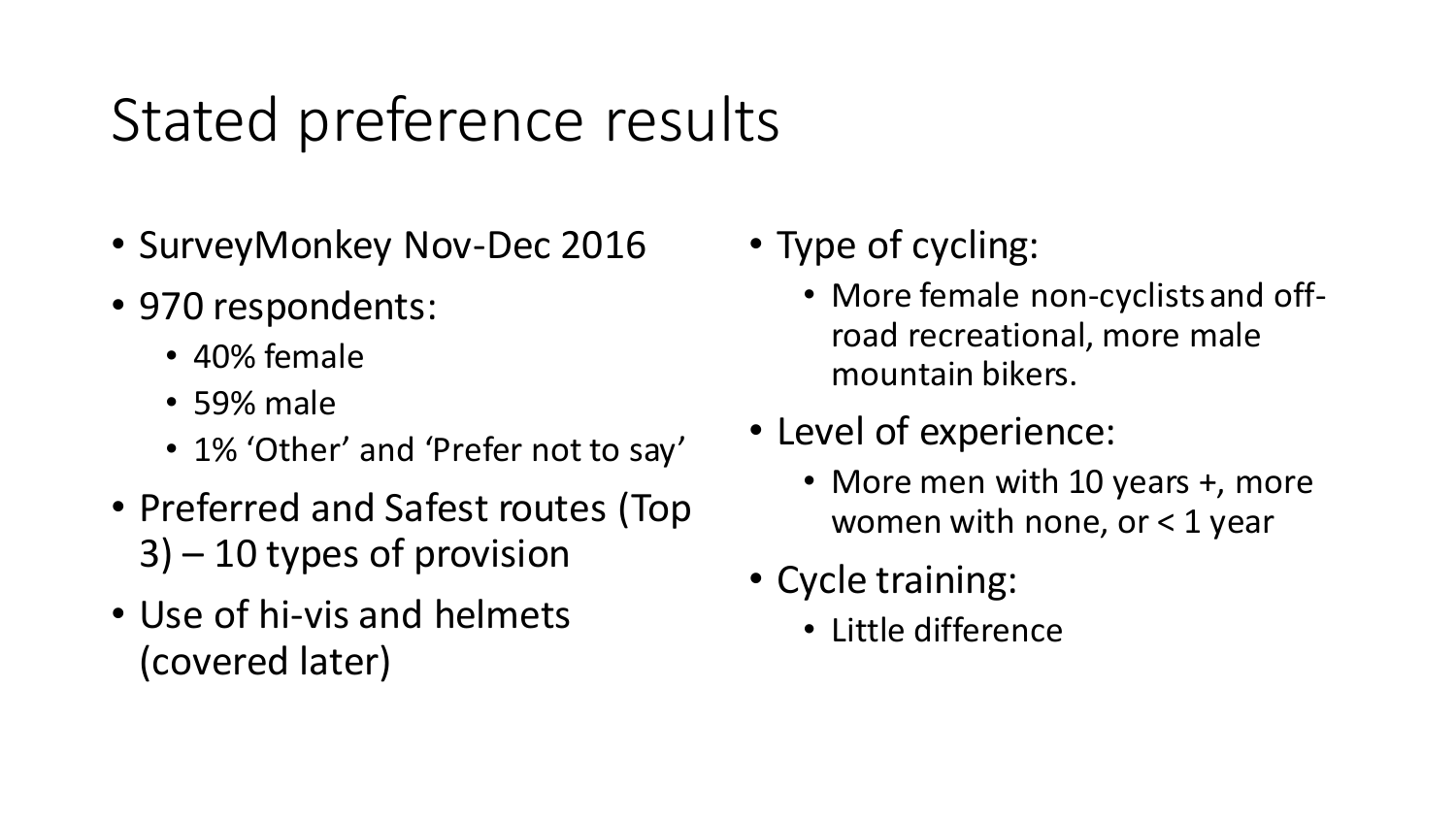## Stated preference results

- SurveyMonkey Nov-Dec 2016
- 970 respondents:
	- 40% female
	- 59% male
	- 1% 'Other' and 'Prefer not to say'
- Preferred and Safest routes (Top 3) – 10 types of provision
- Use of hi-vis and helmets (covered later)
- Type of cycling:
	- More female non-cyclists and offroad recreational, more male mountain bikers.
- Level of experience:
	- More men with 10 years +, more women with none, or  $<$  1 year
- Cycle training:
	- Little difference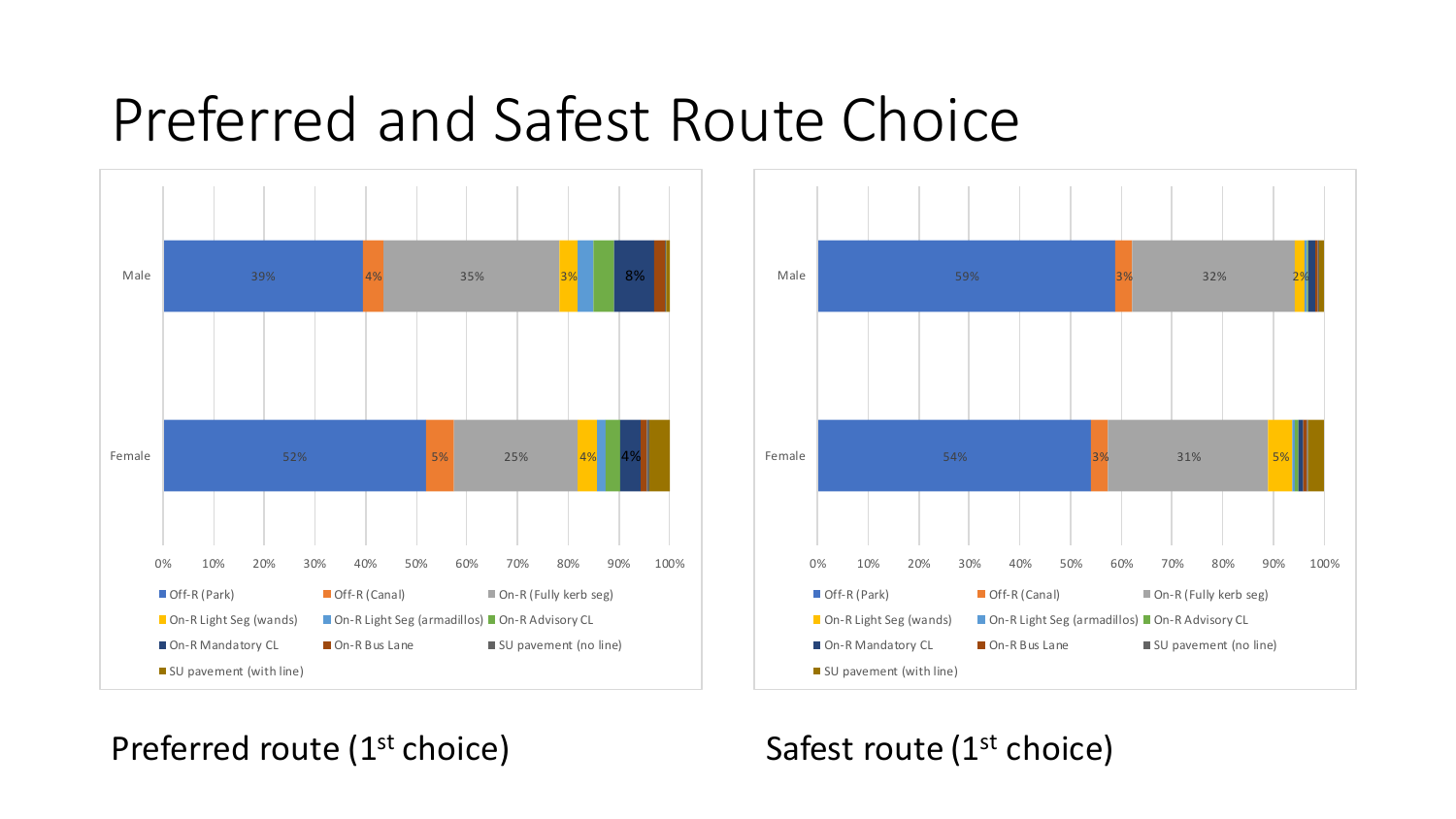### Preferred and Safest Route Choice





### Preferred route (1<sup>st</sup> choice)

### Safest route (1<sup>st</sup> choice)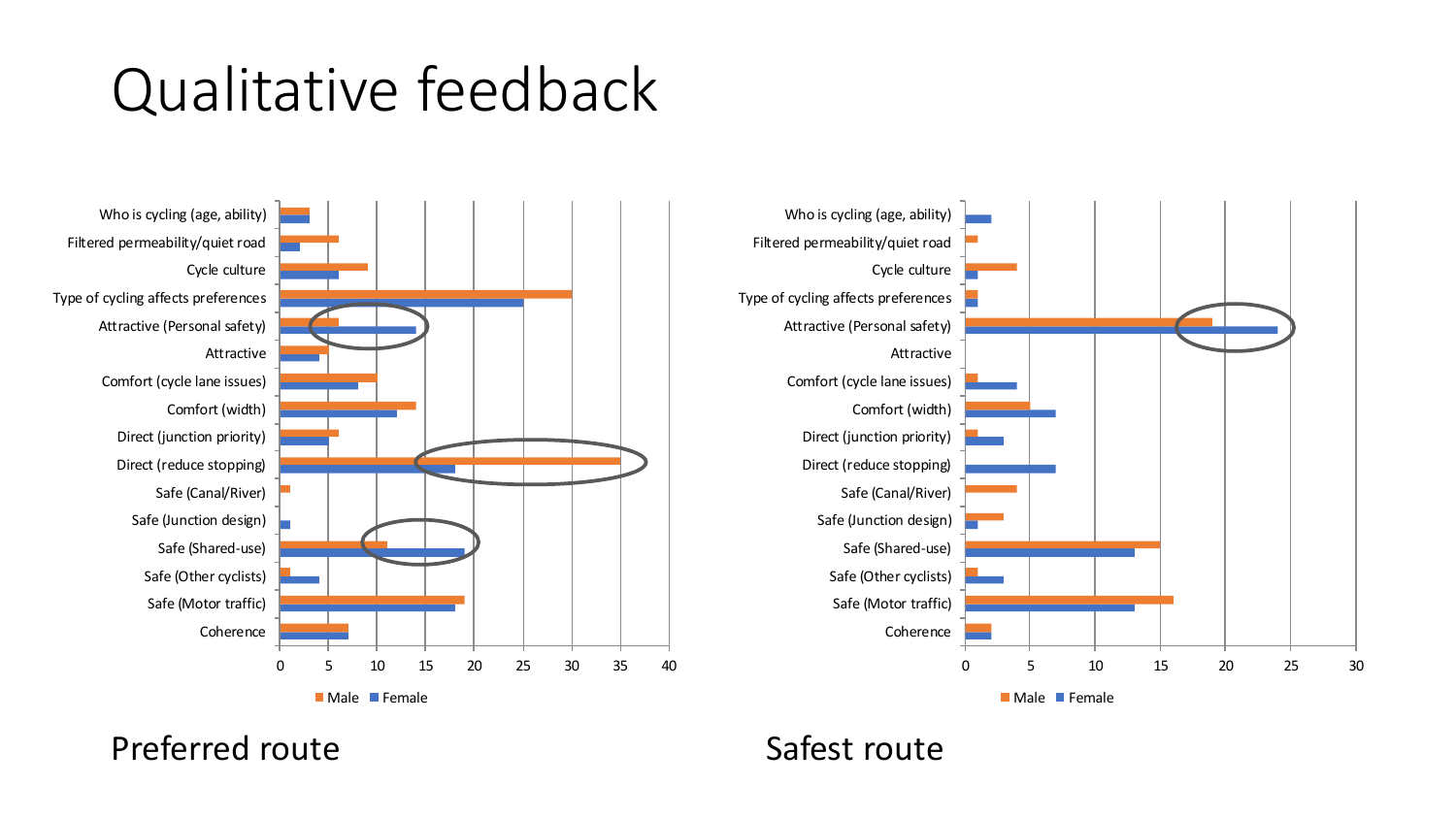## Qualitative feedback



Preferred route **Safest route** Safest route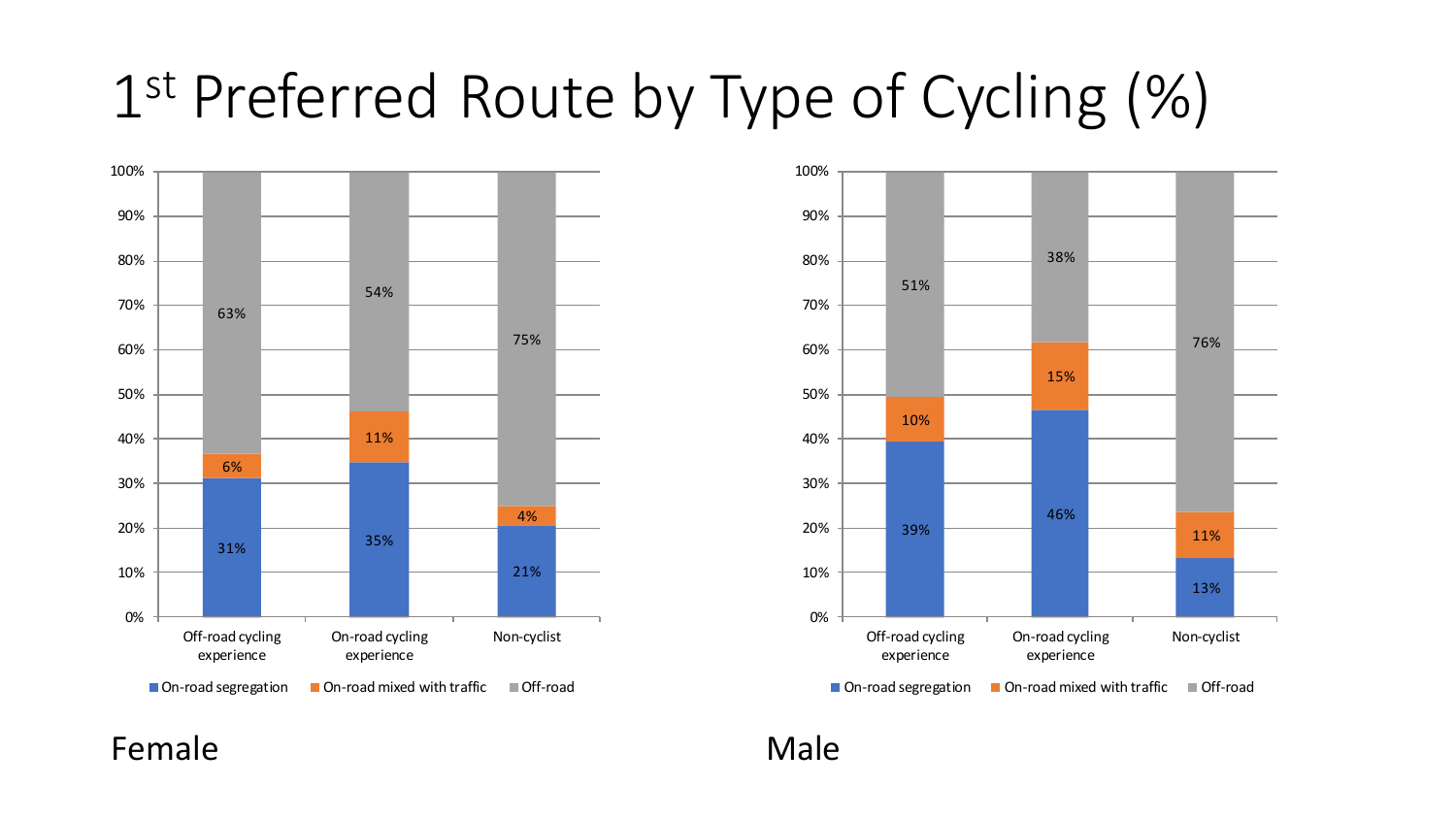# 1 st Preferred Route by Type of Cycling (%)



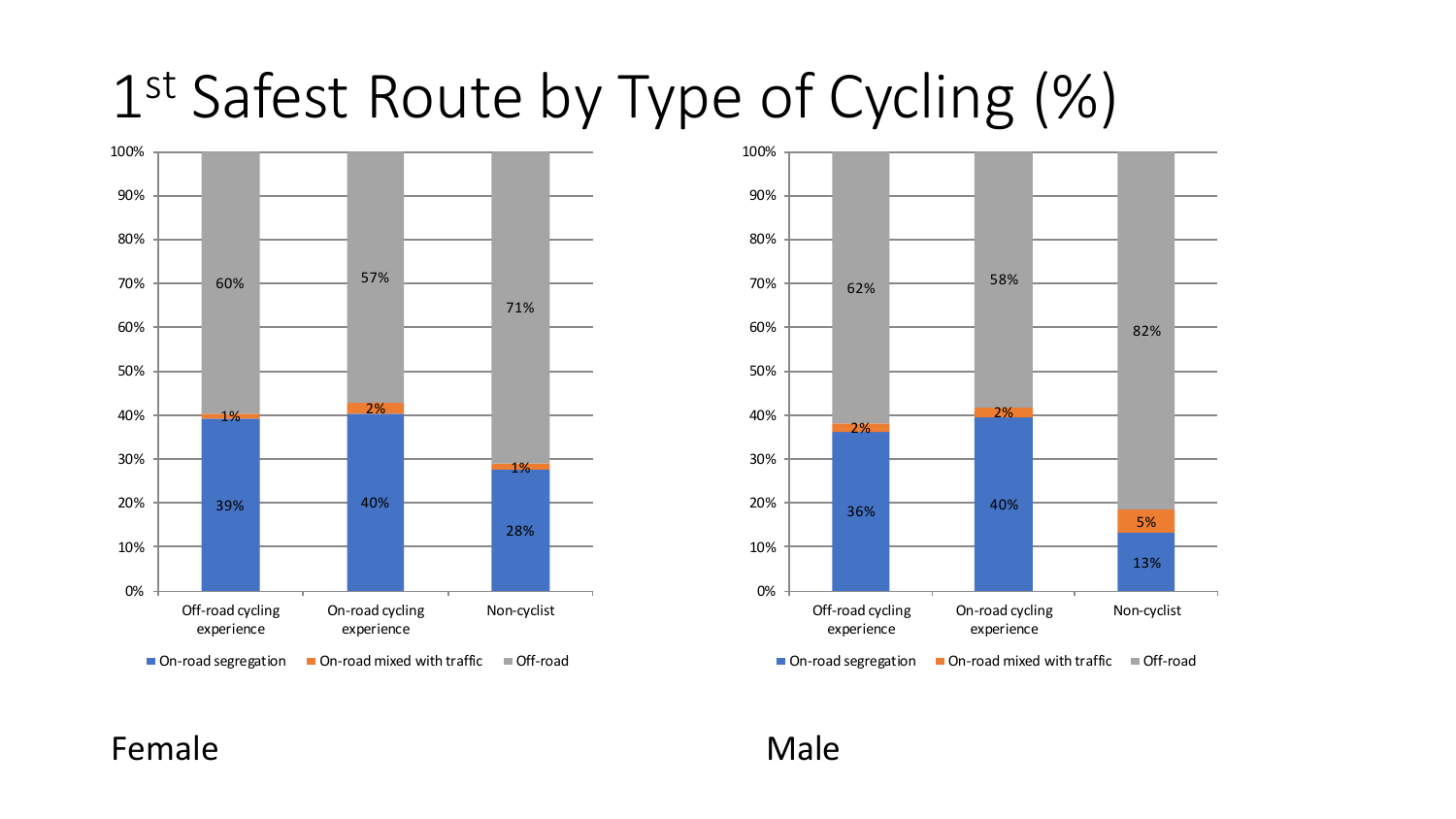# 1 st Safest Route by Type of Cycling (%)



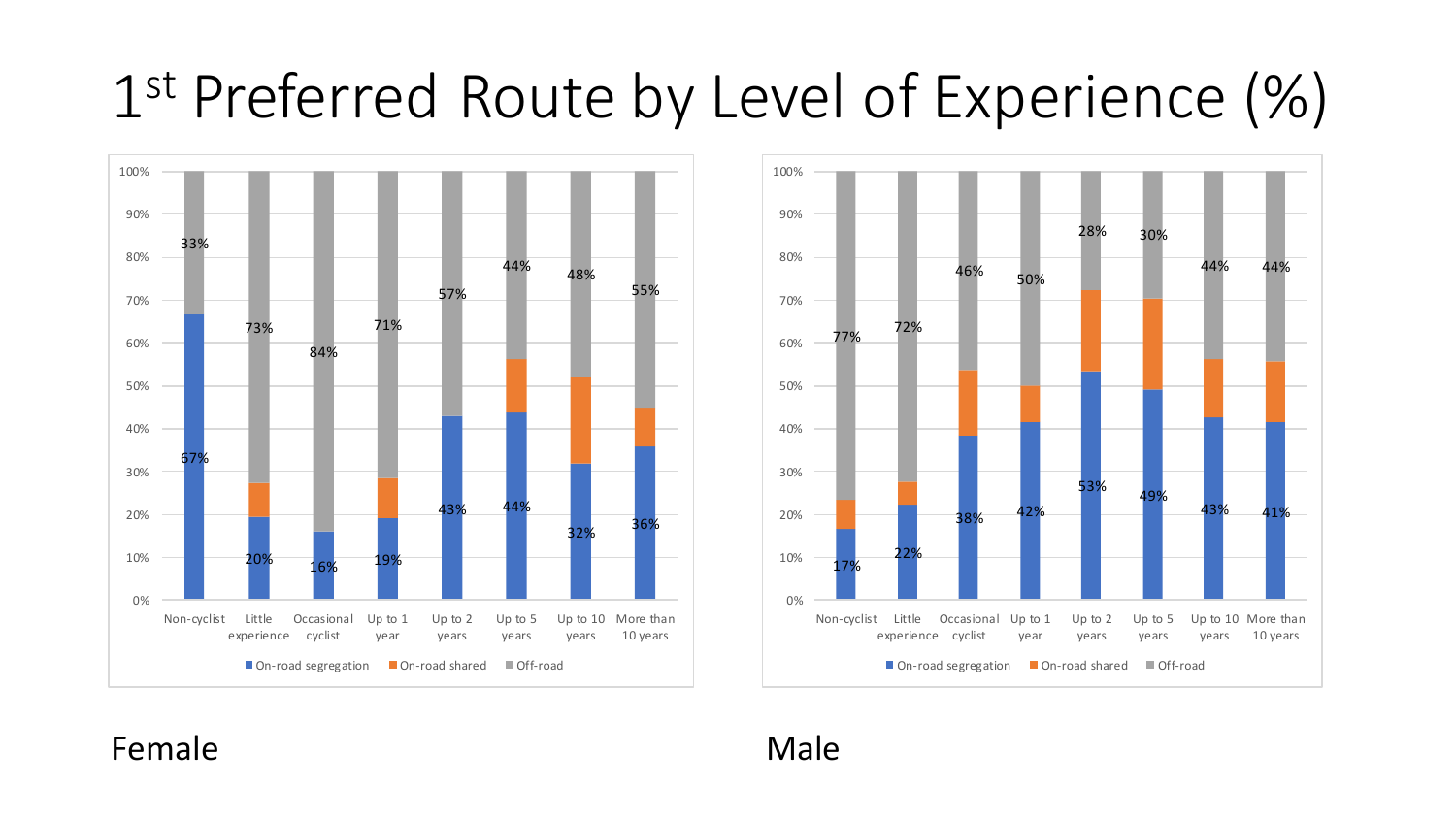# 1 st Preferred Route by Level of Experience (%)



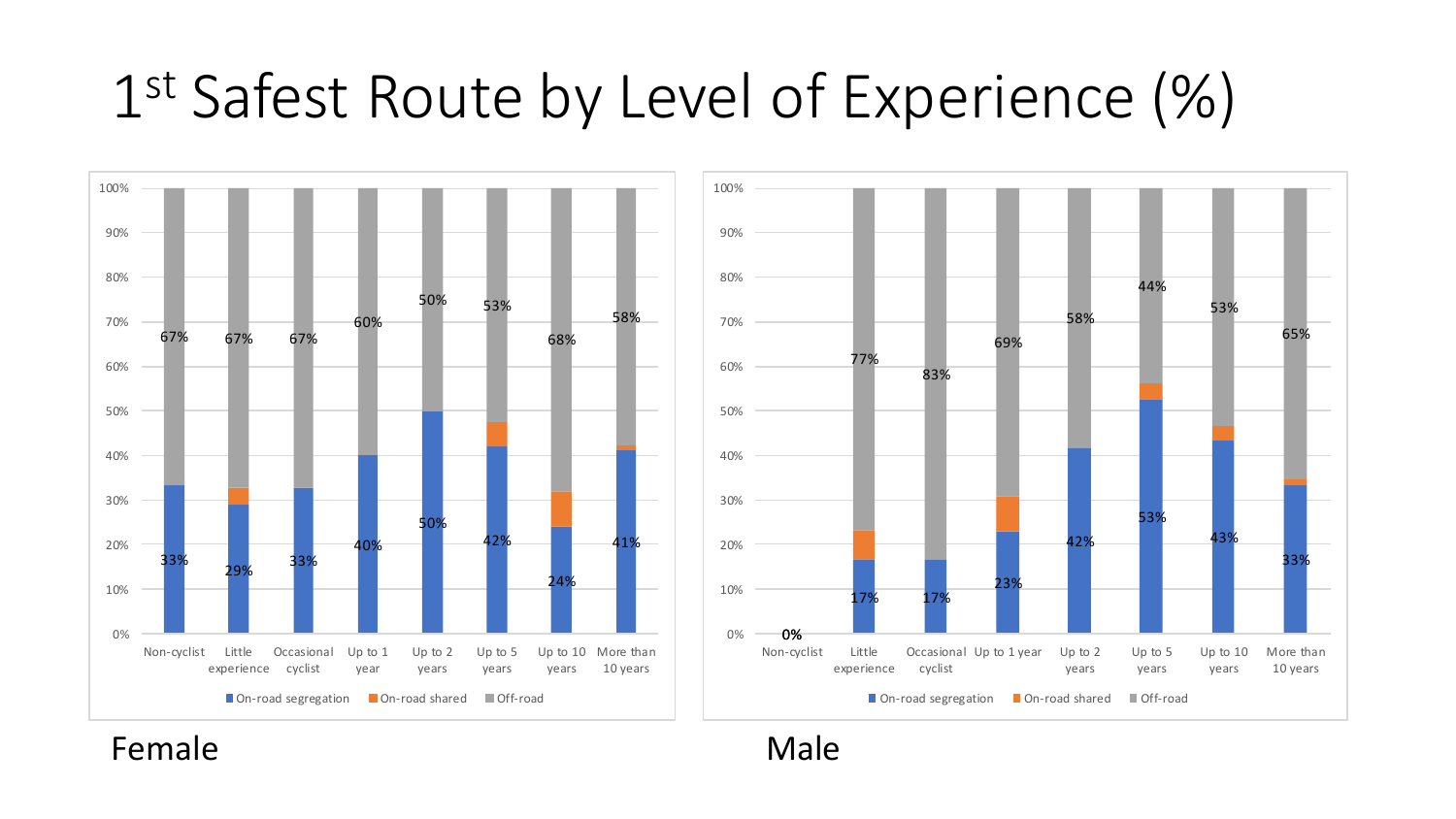# 1 st Safest Route by Level of Experience (%)



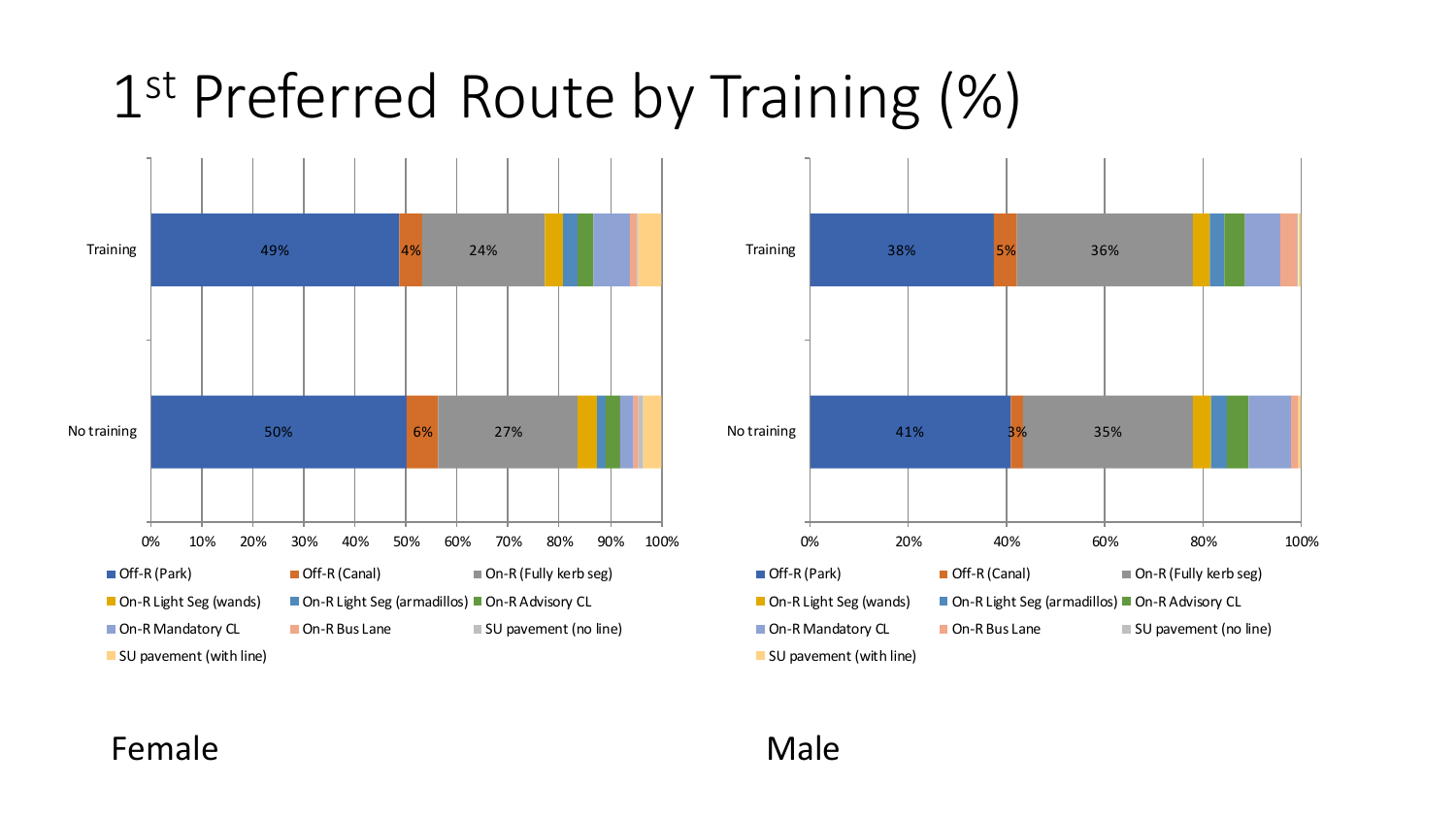# 1 st Preferred Route by Training (%)



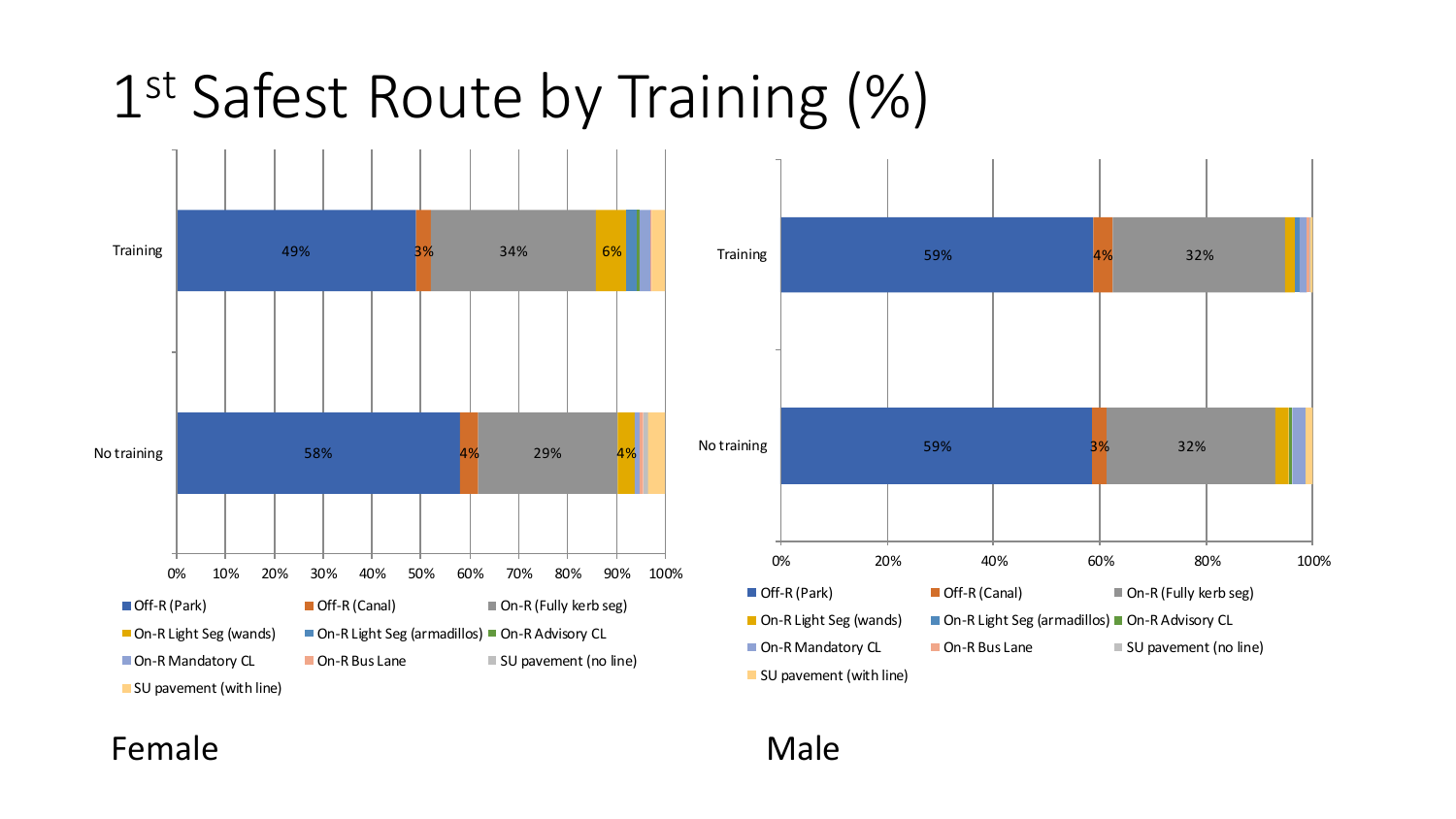# 1 st Safest Route by Training (%)



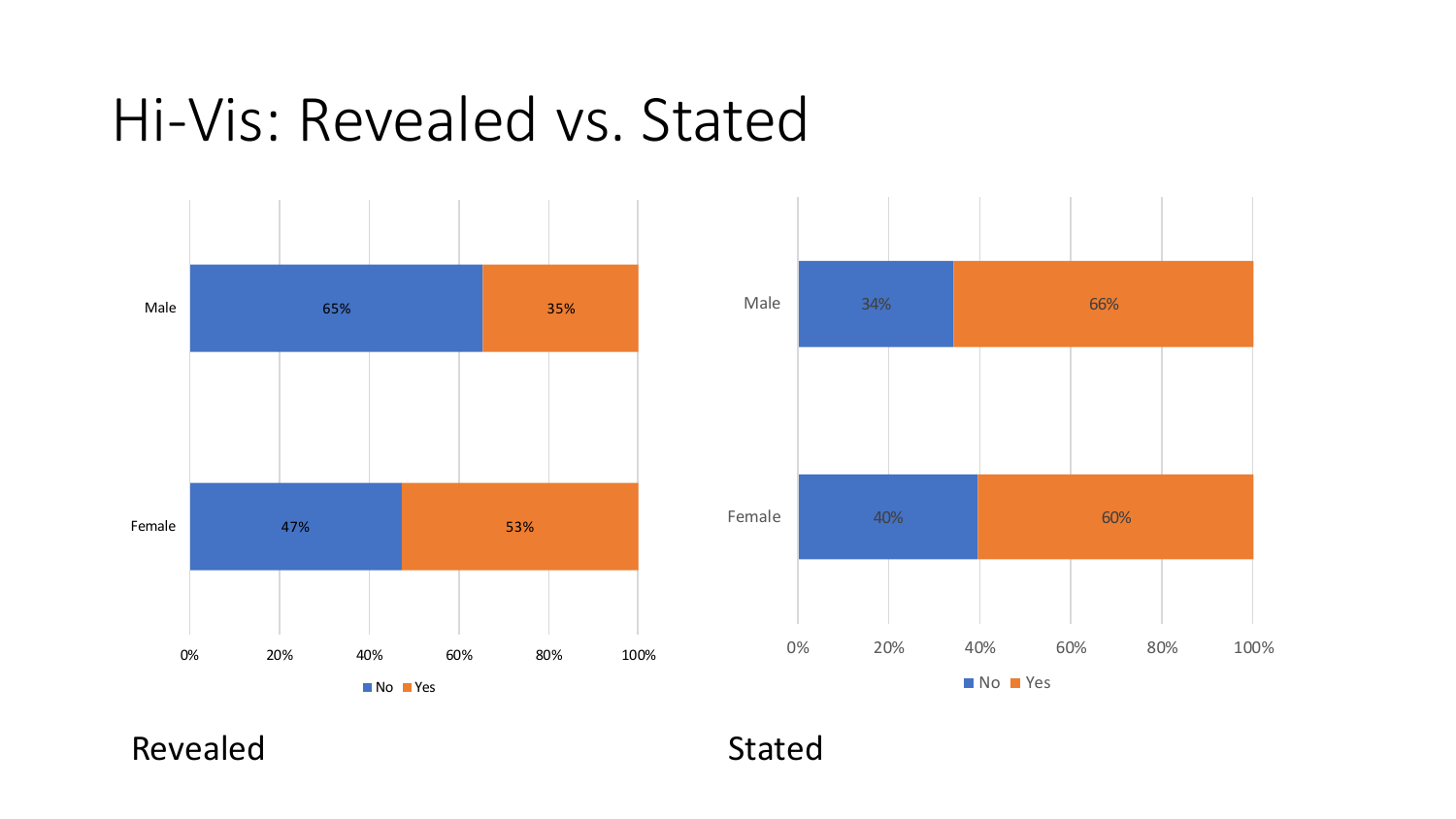### Hi-Vis: Revealed vs. Stated





Revealed Stated Stated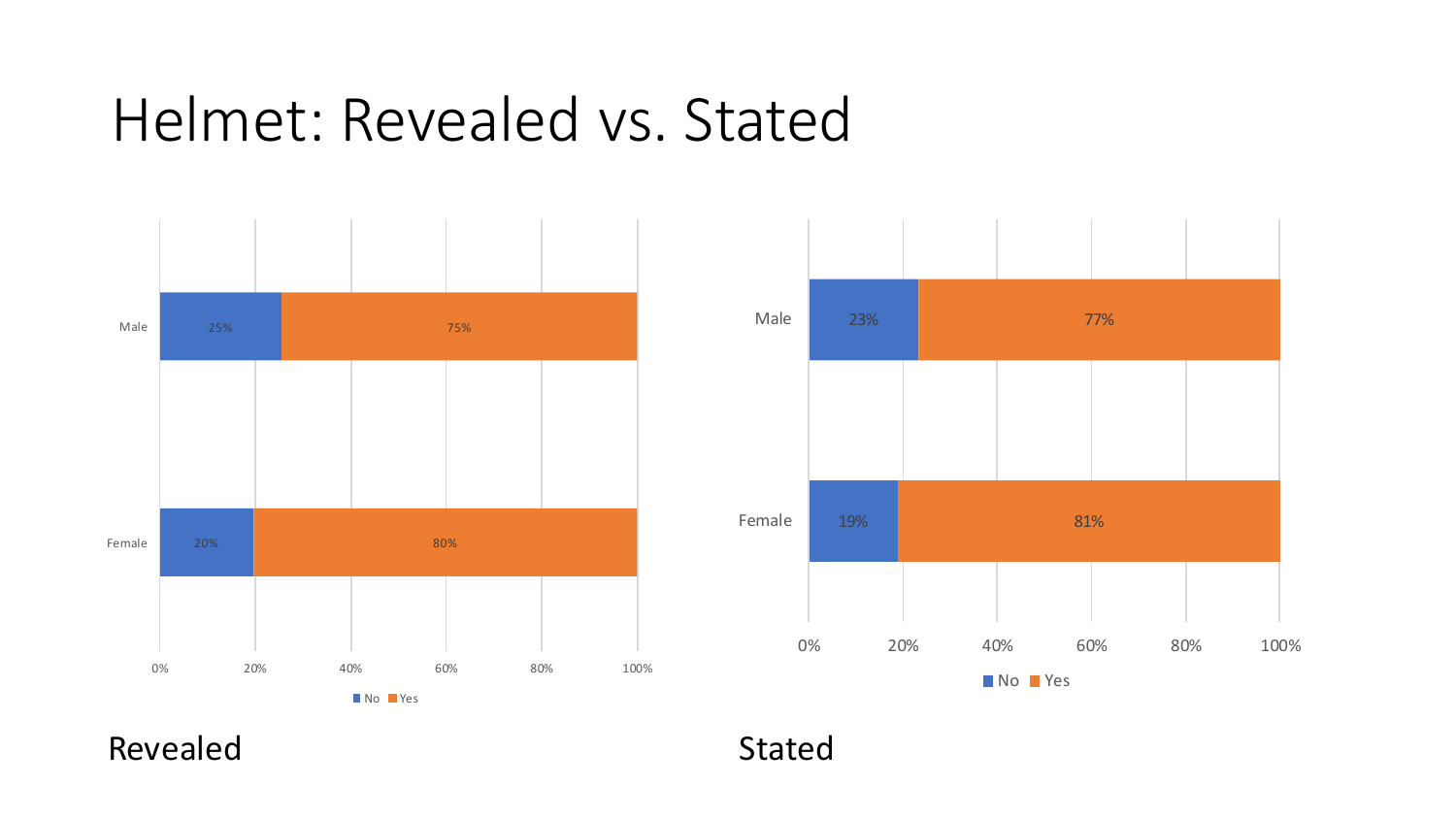### Helmet: Revealed vs. Stated





Revealed Stated Stated Stated Stated Stated Stated Stated Stated Stated Stated Stated Stated Stated Stated Stated Stated Stated Stated Stated Stated Stated Stated Stated Stated Stated Stated Stated Stated Stated Stated Sta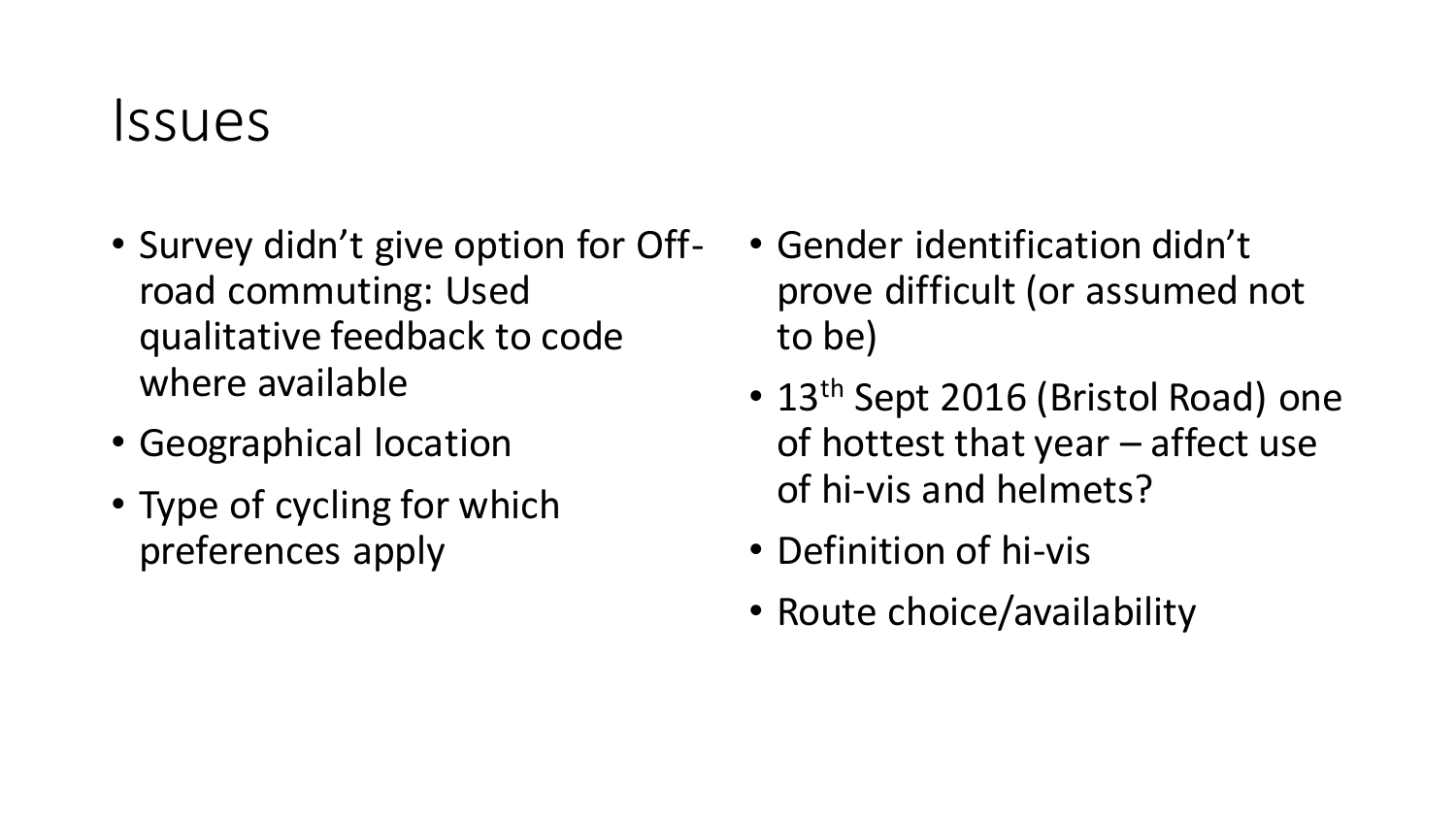### Issues

- Survey didn't give option for Offroad commuting: Used qualitative feedback to code where available
- Geographical location
- Type of cycling for which preferences apply
- Gender identification didn't prove difficult (or assumed not to be)
- 13<sup>th</sup> Sept 2016 (Bristol Road) one of hottest that year – affect use of hi-vis and helmets?
- Definition of hi-vis
- Route choice/availability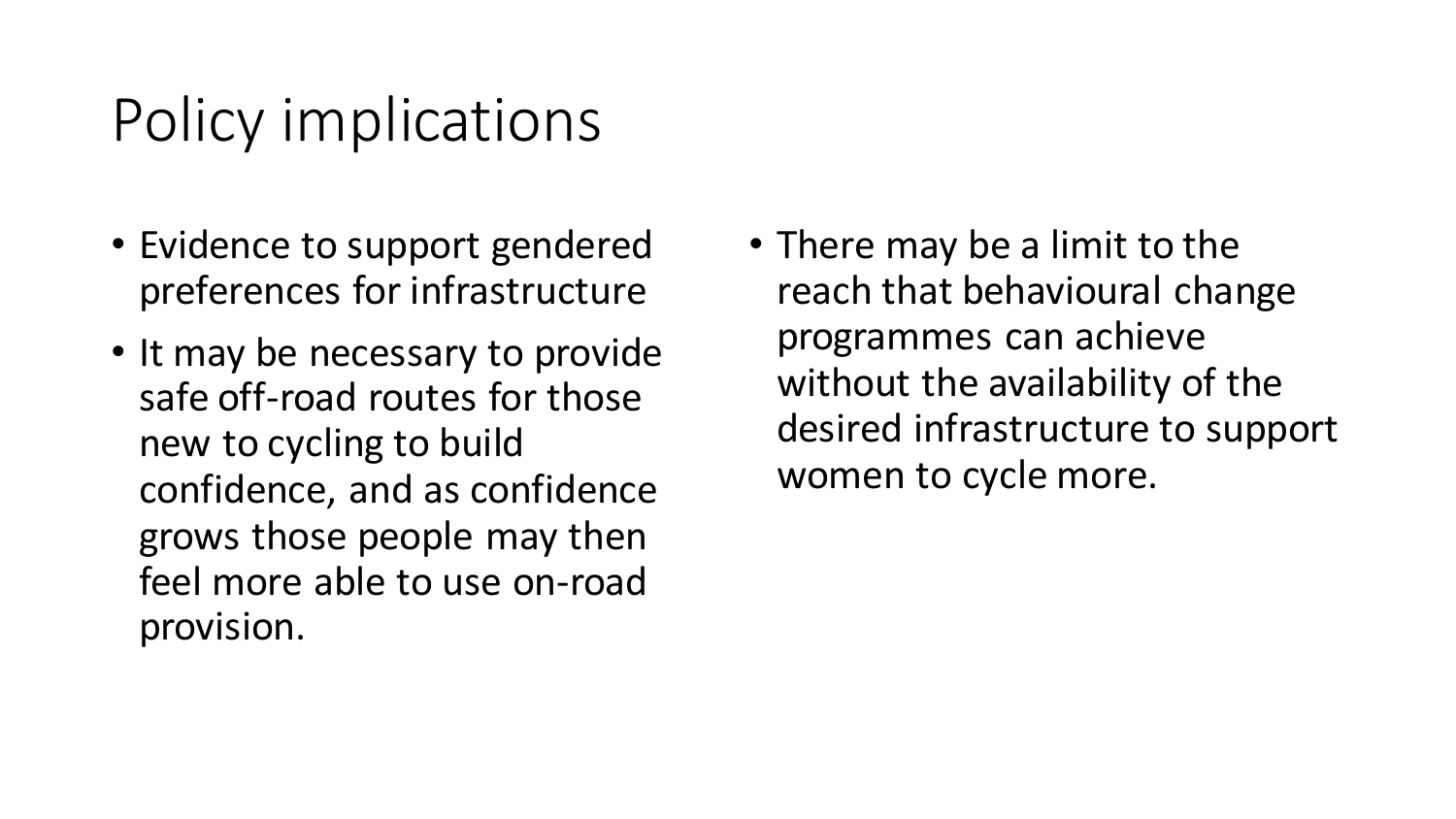# Policy implications

- Evidence to support gendered preferences for infrastructure
- It may be necessary to provide safe off-road routes for those new to cycling to build confidence, and as confidence grows those people may then feel more able to use on-road provision.
- There may be a limit to the reach that behavioural change programmes can achieve without the availability of the desired infrastructure to support women to cycle more.